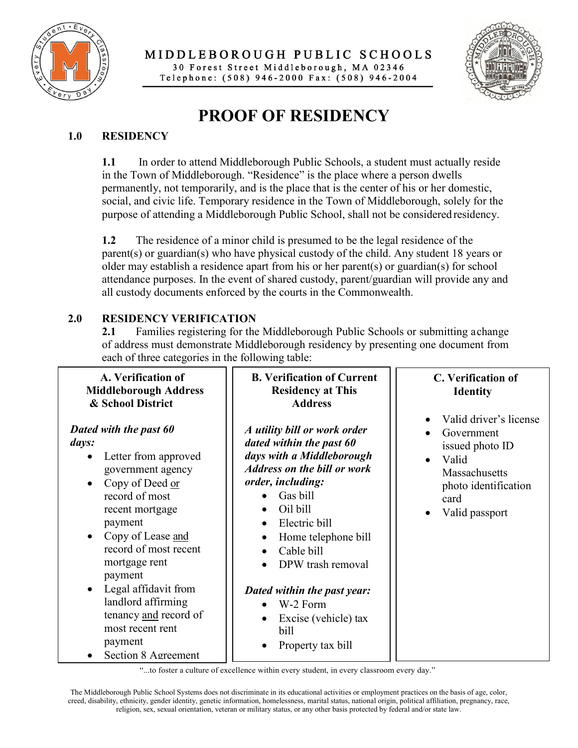

**PUBLIC SCHOOLS**  30 Forest Street Middleborough, MA 02346 Telephone : (508) 946-2000 Fax : ( 508) 946-2004



## **PROOF OF RESIDENCY**

## **1.0 RESIDENCY**

**1.1** In order to attend Middleborough Public Schools, a student must actually reside in the Town of Middleborough. "Residence" is the place where a person dwells permanently, not temporarily, and is the place that is the center of his or her domestic, social, and civic life. Temporary residence in the Town of Middleborough, solely for the purpose of attending a Middleborough Public School, shall not be considered residency.

 parent(s) or guardian(s) who have physical custody of the child. Any student 18 years or **1.2** The residence of a minor child is presumed to be the legal residence of the older may establish a residence apart from his or her parent(s) or guardian(s) for school attendance purposes. In the event of shared custody, parent/guardian will provide any and all custody documents enforced by the courts in the Commonwealth.

## **2.0 RESIDENCY VERIFICATION**

 each of three categories in the following table: **2.1** Families registering for the Middleborough Public Schools or submitting achange of address must demonstrate Middleborough residency by presenting one document from

| A. Verification of<br><b>Middleborough Address</b>                                                                                                                                                                                                                       | <b>B. Verification of Current</b><br><b>Residency at This</b>                                                                                                                                                                                                                                                | C. Verification of<br><b>Identity</b>                                                                                                                         |
|--------------------------------------------------------------------------------------------------------------------------------------------------------------------------------------------------------------------------------------------------------------------------|--------------------------------------------------------------------------------------------------------------------------------------------------------------------------------------------------------------------------------------------------------------------------------------------------------------|---------------------------------------------------------------------------------------------------------------------------------------------------------------|
| & School District<br>Dated with the past 60<br>days:<br>Letter from approved<br>$\bullet$<br>government agency<br>Copy of Deed or<br>record of most<br>recent mortgage<br>payment<br>Copy of Lease and<br>$\bullet$<br>record of most recent<br>mortgage rent<br>payment | <b>Address</b><br>A utility bill or work order<br>dated within the past 60<br>days with a Middleborough<br><b>Address on the bill or work</b><br>order, including:<br>Gas bill<br>Oil bill<br>$\bullet$<br>Electric bill<br>$\bullet$<br>Home telephone bill<br>$\bullet$<br>Cable bill<br>DPW trash removal | Valid driver's license<br>Government<br>issued photo ID<br>Valid<br>$\bullet$<br>Massachusetts<br>photo identification<br>card<br>Valid passport<br>$\bullet$ |
| Legal affidavit from<br>landlord affirming<br>tenancy and record of<br>most recent rent<br>payment<br>Section 8 Agreement                                                                                                                                                | Dated within the past year:<br>W-2 Form<br>Excise (vehicle) tax<br>bill<br>Property tax bill                                                                                                                                                                                                                 |                                                                                                                                                               |

"...to foster a culture of excellence within every student, in every classroom every day."

The Middleborough Public School Systems does not discriminate in its educational activities or employment practices on the basis of age, color, creed, disability, ethnicity, gender identity, genetic information, homelessness, marital status, national origin, political affiliation, pregnancy, race, religion, sex, sexual orientation, veteran or military status, or any other basis protected by federal and/or state law.